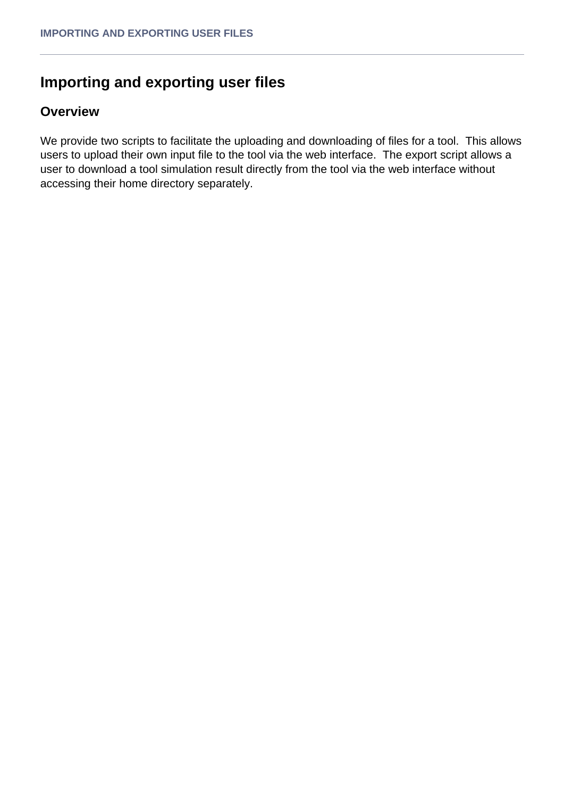## **Importing and exporting user files**

## **Overview**

We provide two scripts to facilitate the uploading and downloading of files for a tool. This allows users to upload their own input file to the tool via the web interface. The export script allows a user to download a tool simulation result directly from the tool via the web interface without accessing their home directory separately.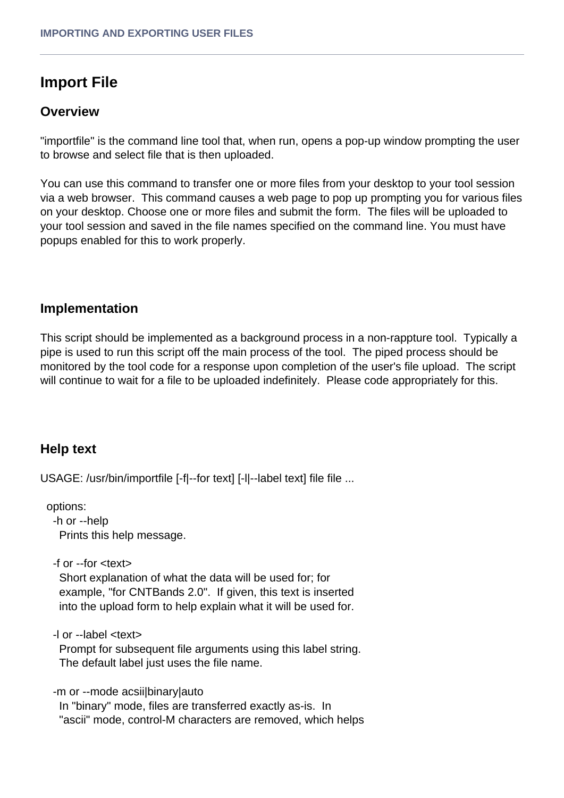## **Import File**

### **Overview**

"importfile" is the command line tool that, when run, opens a pop-up window prompting the user to browse and select file that is then uploaded.

You can use this command to transfer one or more files from your desktop to your tool session via a web browser. This command causes a web page to pop up prompting you for various files on your desktop. Choose one or more files and submit the form. The files will be uploaded to your tool session and saved in the file names specified on the command line. You must have popups enabled for this to work properly.

### **Implementation**

This script should be implemented as a background process in a non-rappture tool. Typically a pipe is used to run this script off the main process of the tool. The piped process should be monitored by the tool code for a response upon completion of the user's file upload. The script will continue to wait for a file to be uploaded indefinitely. Please code appropriately for this.

## **Help text**

USAGE: /usr/bin/importfile [-f|--for text] [-l|--label text] file file ...

 options: -h or --help Prints this help message.

-f or --for <text>

 Short explanation of what the data will be used for; for example, "for CNTBands 2.0". If given, this text is inserted into the upload form to help explain what it will be used for.

-l or --label <text>

 Prompt for subsequent file arguments using this label string. The default label just uses the file name.

-m or --mode acsii|binary|auto

 In "binary" mode, files are transferred exactly as-is. In "ascii" mode, control-M characters are removed, which helps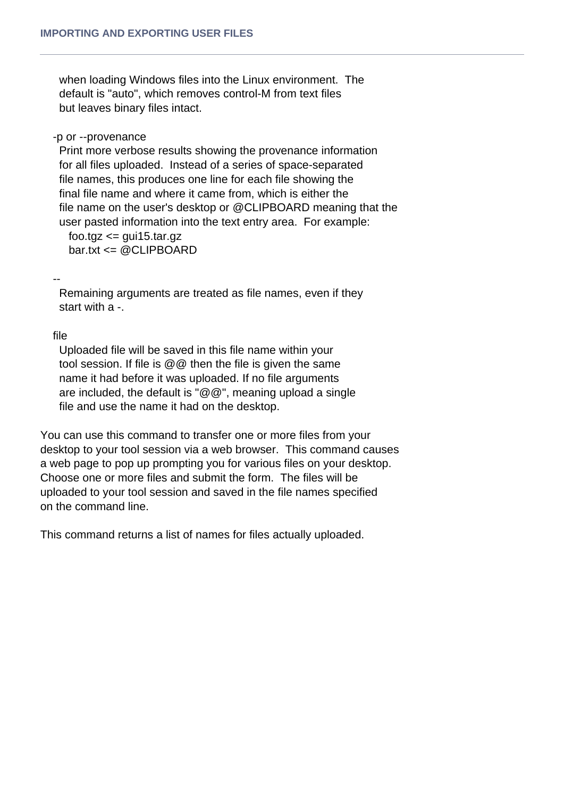when loading Windows files into the Linux environment. The default is "auto", which removes control-M from text files but leaves binary files intact.

#### -p or --provenance

 Print more verbose results showing the provenance information for all files uploaded. Instead of a series of space-separated file names, this produces one line for each file showing the final file name and where it came from, which is either the file name on the user's desktop or @CLIPBOARD meaning that the user pasted information into the text entry area. For example:

 $foo.tqz \leq qui15.tar.qz$ bar.txt <= @CLIPBOARD

--

 Remaining arguments are treated as file names, even if they start with a -.

file

 Uploaded file will be saved in this file name within your tool session. If file is @@ then the file is given the same name it had before it was uploaded. If no file arguments are included, the default is "@@", meaning upload a single file and use the name it had on the desktop.

You can use this command to transfer one or more files from your desktop to your tool session via a web browser. This command causes a web page to pop up prompting you for various files on your desktop. Choose one or more files and submit the form. The files will be uploaded to your tool session and saved in the file names specified on the command line.

This command returns a list of names for files actually uploaded.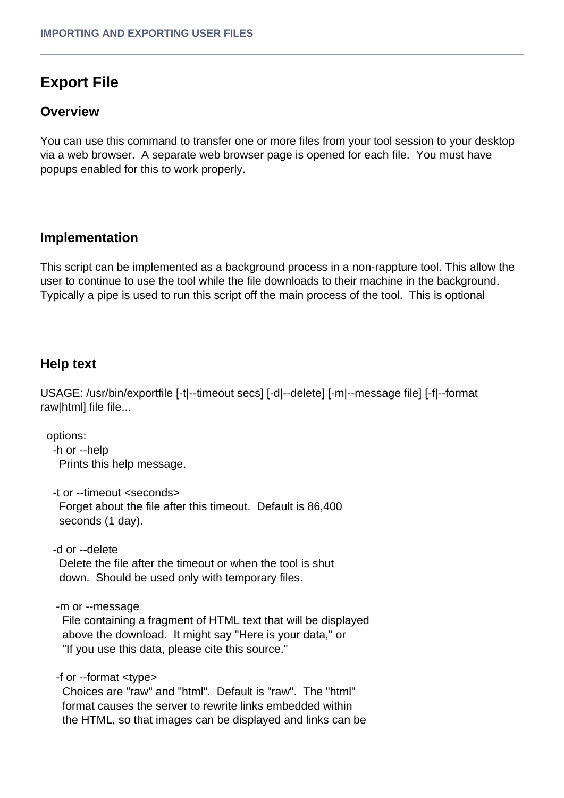# **Export File**

## **Overview**

You can use this command to transfer one or more files from your tool session to your desktop via a web browser. A separate web browser page is opened for each file. You must have popups enabled for this to work properly.

## **Implementation**

This script can be implemented as a background process in a non-rappture tool. This allow the user to continue to use the tool while the file downloads to their machine in the background. Typically a pipe is used to run this script off the main process of the tool. This is optional

## **Help text**

USAGE: /usr/bin/exportfile [-t|--timeout secs] [-d|--delete] [-m|--message file] [-f|--format raw|html] file file...

options:

 -h or --help Prints this help message.

-t or --timeout <seconds>

 Forget about the file after this timeout. Default is 86,400 seconds (1 day).

-d or --delete

 Delete the file after the timeout or when the tool is shut down. Should be used only with temporary files.

-m or --message

 File containing a fragment of HTML text that will be displayed above the download. It might say "Here is your data," or "If you use this data, please cite this source."

-f or --format <type>

 Choices are "raw" and "html". Default is "raw". The "html" format causes the server to rewrite links embedded within the HTML, so that images can be displayed and links can be